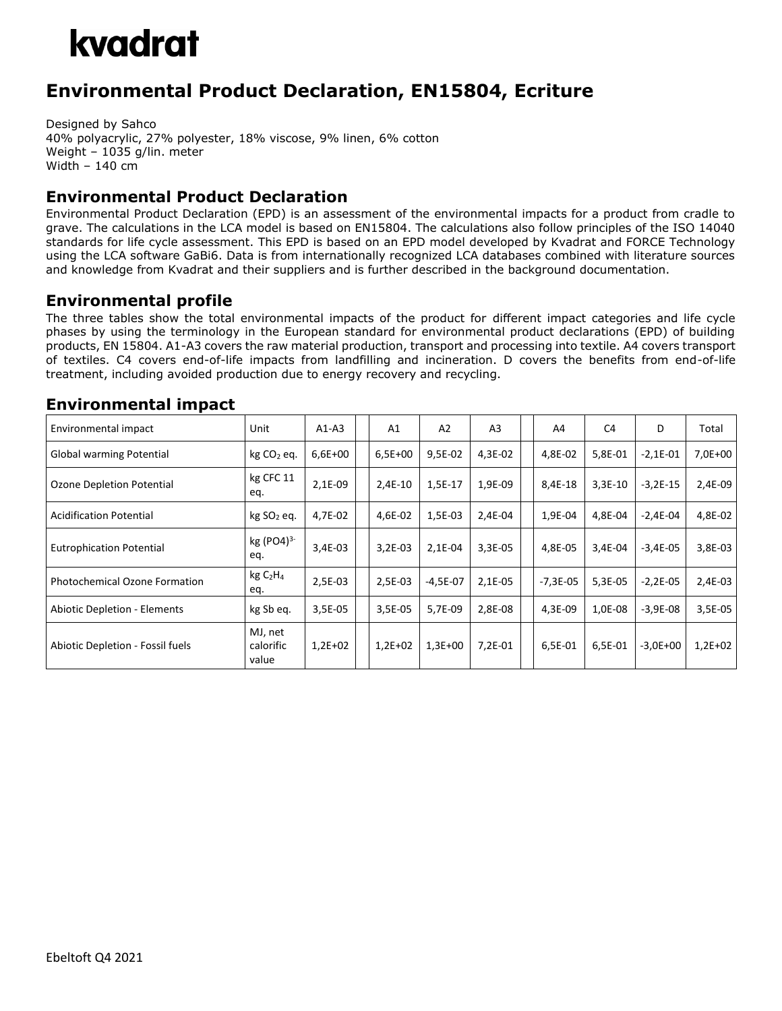## kvadrat

### **Environmental Product Declaration, EN15804, Ecriture**

Designed by Sahco 40% polyacrylic, 27% polyester, 18% viscose, 9% linen, 6% cotton Weight – 1035 g/lin. meter Width – 140 cm

#### **Environmental Product Declaration**

Environmental Product Declaration (EPD) is an assessment of the environmental impacts for a product from cradle to grave. The calculations in the LCA model is based on EN15804. The calculations also follow principles of the ISO 14040 standards for life cycle assessment. This EPD is based on an EPD model developed by Kvadrat and FORCE Technology using the LCA software GaBi6. Data is from internationally recognized LCA databases combined with literature sources and knowledge from Kvadrat and their suppliers and is further described in the background documentation.

#### **Environmental profile**

The three tables show the total environmental impacts of the product for different impact categories and life cycle phases by using the terminology in the European standard for environmental product declarations (EPD) of building products, EN 15804. A1-A3 covers the raw material production, transport and processing into textile. A4 covers transport of textiles. C4 covers end-of-life impacts from landfilling and incineration. D covers the benefits from end-of-life treatment, including avoided production due to energy recovery and recycling.

#### **Environmental impact**

| Environmental impact                 | Unit                                   | $A1-A3$   | A <sub>1</sub> | A2         | A <sub>3</sub> | A4         | C <sub>4</sub> | D            | Total     |
|--------------------------------------|----------------------------------------|-----------|----------------|------------|----------------|------------|----------------|--------------|-----------|
| Global warming Potential             | $kg CO2$ eq.                           | $6,6E+00$ | $6,5E+00$      | 9,5E-02    | 4,3E-02        | 4,8E-02    | 5,8E-01        | $-2,1E-01$   | 7,0E+00   |
| Ozone Depletion Potential            | kg CFC 11<br>eq.                       | 2,1E-09   | 2,4E-10        | 1,5E-17    | 1,9E-09        | 8,4E-18    | $3,3E-10$      | $-3,2E-15$   | 2,4E-09   |
| <b>Acidification Potential</b>       | kg SO <sub>2</sub> eq.                 | 4,7E-02   | 4,6E-02        | 1,5E-03    | 2,4E-04        | 1,9E-04    | 4,8E-04        | $-2.4E - 04$ | 4,8E-02   |
| <b>Eutrophication Potential</b>      | $kg (PO4)^{3-}$<br>eq.                 | 3,4E-03   | $3,2E-03$      | $2,1E-04$  | $3,3E-05$      | 4,8E-05    | 3,4E-04        | $-3,4E-05$   | 3,8E-03   |
| <b>Photochemical Ozone Formation</b> | kgC <sub>2</sub> H <sub>4</sub><br>eq. | 2,5E-03   | 2,5E-03        | $-4,5E-07$ | $2,1E-05$      | $-7,3E-05$ | 5,3E-05        | $-2,2E-05$   | 2,4E-03   |
| <b>Abiotic Depletion - Elements</b>  | kg Sb eq.                              | 3,5E-05   | 3,5E-05        | 5,7E-09    | 2,8E-08        | 4,3E-09    | 1,0E-08        | $-3,9E-08$   | 3,5E-05   |
| Abiotic Depletion - Fossil fuels     | MJ, net<br>calorific<br>value          | $1,2E+02$ | $1,2E+02$      | $1,3E+00$  | $7,2E-01$      | 6,5E-01    | 6,5E-01        | $-3,0E+00$   | $1,2E+02$ |